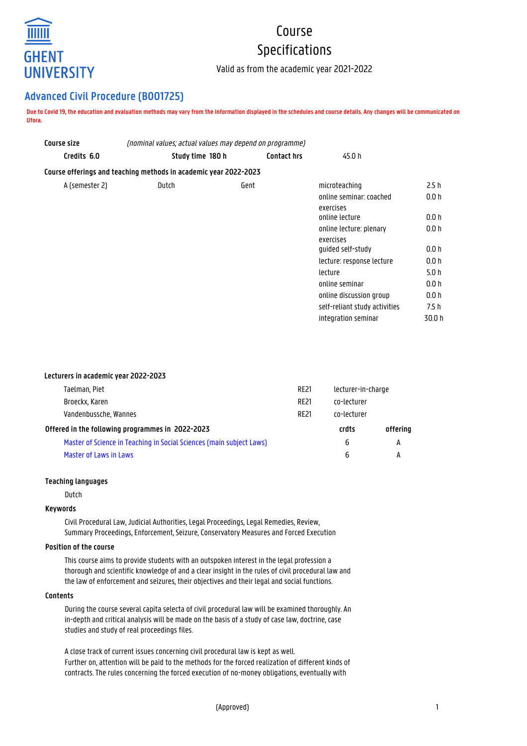

# Course Specifications

Valid as from the academic year 2021-2022

# **Advanced Civil Procedure (B001725)**

**Due to Covid 19, the education and evaluation methods may vary from the information displayed in the schedules and course details. Any changes will be communicated on Ufora.**

| Course size    | (nominal values; actual values may depend on programme)          |      |                    |                                      |        |
|----------------|------------------------------------------------------------------|------|--------------------|--------------------------------------|--------|
| Credits 6.0    | Study time 180 h                                                 |      | <b>Contact hrs</b> | 45.0 h                               |        |
|                | Course offerings and teaching methods in academic year 2022-2023 |      |                    |                                      |        |
| A (semester 2) | Dutch                                                            | Gent |                    | microteaching                        | 2.5h   |
|                |                                                                  |      |                    | online seminar: coached<br>exercises | 0.0 h  |
|                |                                                                  |      |                    | online lecture                       | 0.0 h  |
|                |                                                                  |      |                    | online lecture: plenary              | 0.0 h  |
|                |                                                                  |      |                    | exercises                            |        |
|                |                                                                  |      |                    | quided self-study                    | 0.0 h  |
|                |                                                                  |      |                    | lecture: response lecture            | 0.0 h  |
|                |                                                                  |      |                    | lecture                              | 5.0 h  |
|                |                                                                  |      |                    | online seminar                       | 0.0 h  |
|                |                                                                  |      |                    | online discussion group              | 0.0 h  |
|                |                                                                  |      |                    | self-reliant study activities        | 7.5 h  |
|                |                                                                  |      |                    | integration seminar                  | 30.0 h |

#### **Lecturers in academic year 2022-2023**

| Taelman, Piet                                                        | <b>RE21</b> | lecturer-in-charge |          |
|----------------------------------------------------------------------|-------------|--------------------|----------|
| Broeckx, Karen                                                       | <b>RF21</b> | co-lecturer        |          |
| Vandenbussche, Wannes                                                | <b>RE21</b> | co-lecturer        |          |
| Offered in the following programmes in 2022-2023                     |             | crdts              | offerina |
| Master of Science in Teaching in Social Sciences (main subject Laws) |             | 6                  | А        |
| Master of Laws in Laws                                               |             | 6                  | А        |

#### **Teaching languages**

Dutch

# **Keywords**

Civil Procedural Law, Judicial Authorities, Legal Proceedings, Legal Remedies, Review, Summary Proceedings, Enforcement, Seizure, Conservatory Measures and Forced Execution

# **Position of the course**

This course aims to provide students with an outspoken interest in the legal profession a thorough and scientific knowledge of and a clear insight in the rules of civil procedural law and the law of enforcement and seizures, their objectives and their legal and social functions.

#### **Contents**

During the course several capita selecta of civil procedural law will be examined thoroughly. An in-depth and critical analysis will be made on the basis of a study of case law, doctrine, case studies and study of real proceedings files.

A close track of current issues concerning civil procedural law is kept as well. Further on, attention will be paid to the methods for the forced realization of different kinds of contracts. The rules concerning the forced execution of no-money obligations, eventually with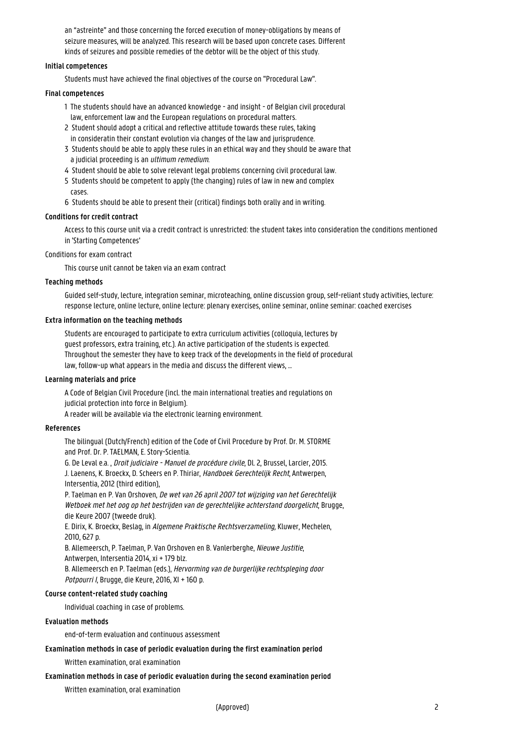an "astreinte" and those concerning the forced execution of money-obligations by means of seizure measures, will be analyzed. This research will be based upon concrete cases. Different kinds of seizures and possible remedies of the debtor will be the object of this study.

#### **Initial competences**

Students must have achieved the final objectives of the course on "Procedural Law".

#### **Final competences**

- 1 The students should have an advanced knowledge and insight of Belgian civil procedural law, enforcement law and the European regulations on procedural matters.
- 2 Student should adopt a critical and reflective attitude towards these rules, taking in consideratin their constant evolution via changes of the law and jurisprudence.
- 3 Students should be able to apply these rules in an ethical way and they should be aware that a judicial proceeding is an *ultimum remedium*.
- 4 Student should be able to solve relevant legal problems concerning civil procedural law.
- 5 Students should be competent to apply (the changing) rules of law in new and complex 1 cases.
- 6 Students should be able to present their (critical) findings both orally and in writing.

#### **Conditions for credit contract**

Access to this course unit via a credit contract is unrestricted: the student takes into consideration the conditions mentioned in 'Starting Competences'

Conditions for exam contract

This course unit cannot be taken via an exam contract

#### **Teaching methods**

Guided self-study, lecture, integration seminar, microteaching, online discussion group, self-reliant study activities, lecture: response lecture, online lecture, online lecture: plenary exercises, online seminar, online seminar: coached exercises

#### **Extra information on the teaching methods**

Students are encouraged to participate to extra curriculum activities (colloquia, lectures by guest professors, extra training, etc.). An active participation of the students is expected. Throughout the semester they have to keep track of the developments in the field of procedural law, follow-up what appears in the media and discuss the different views, ...

#### **Learning materials and price**

A Code of Belgian Civil Procedure (incl. the main international treaties and regulations on judicial protection into force in Belgium).

A reader will be available via the electronic learning environment.

#### **References**

The bilingual (Dutch/French) edition of the Code of Civil Procedure by Prof. Dr. M. STORME and Prof. Dr. P. TAELMAN, E. Story-Scientia.

G. De Leval e.a. , Droit judiciaire - Manuel de procédure civile, Dl. 2, Brussel, Larcier, 2015. J. Laenens, K. Broeckx, D. Scheers en P. Thiriar, Handboek Gerechtelijk Recht, Antwerpen,

Intersentia, 2012 (third edition),

P. Taelman en P. Van Orshoven, De wet van 26 april 2007 tot wijziging van het Gerechtelijk Wetboek met het oog op het bestrijden van de gerechtelijke achterstand doorgelicht, Brugge, die Keure 2007 (tweede druk).

E. Dirix, K. Broeckx, Beslag, in Algemene Praktische Rechtsverzameling, Kluwer, Mechelen, 2010, 627 p.

B. Allemeersch, P. Taelman, P. Van Orshoven en B. Vanlerberghe, Nieuwe Justitie, Antwerpen, Intersentia 2014, xi + 179 blz.

B. Allemeersch en P. Taelman (eds.), Hervorming van de burgerlijke rechtspleging door Potpourri I, Brugge, die Keure, 2016, XI + 160 p.

# **Course content-related study coaching**

Individual coaching in case of problems.

# **Evaluation methods**

end-of-term evaluation and continuous assessment

#### **Examination methods in case of periodic evaluation during the first examination period**

Written examination, oral examination

#### **Examination methods in case of periodic evaluation during the second examination period**

Written examination, oral examination